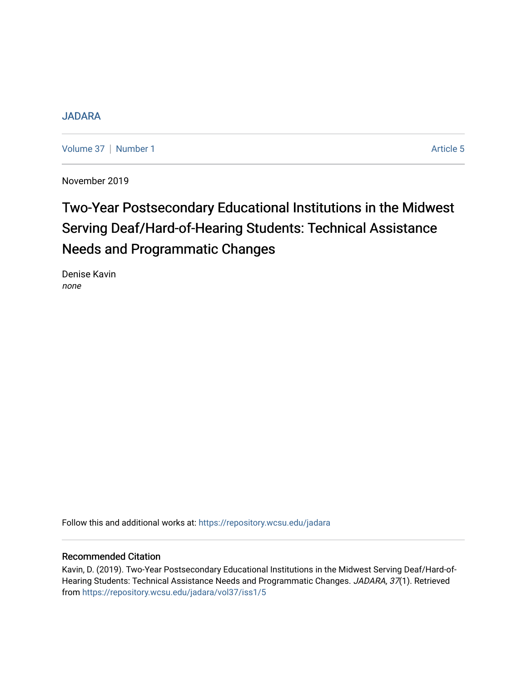### [JADARA](https://repository.wcsu.edu/jadara)

[Volume 37](https://repository.wcsu.edu/jadara/vol37) | [Number 1](https://repository.wcsu.edu/jadara/vol37/iss1) Article 5

November 2019

# Two-Year Postsecondary Educational Institutions in the Midwest Serving Deaf/Hard-of-Hearing Students: Technical Assistance Needs and Programmatic Changes

Denise Kavin none

Follow this and additional works at: [https://repository.wcsu.edu/jadara](https://repository.wcsu.edu/jadara?utm_source=repository.wcsu.edu%2Fjadara%2Fvol37%2Fiss1%2F5&utm_medium=PDF&utm_campaign=PDFCoverPages)

### Recommended Citation

Kavin, D. (2019). Two-Year Postsecondary Educational Institutions in the Midwest Serving Deaf/Hard-of-Hearing Students: Technical Assistance Needs and Programmatic Changes. JADARA, 37(1). Retrieved from [https://repository.wcsu.edu/jadara/vol37/iss1/5](https://repository.wcsu.edu/jadara/vol37/iss1/5?utm_source=repository.wcsu.edu%2Fjadara%2Fvol37%2Fiss1%2F5&utm_medium=PDF&utm_campaign=PDFCoverPages)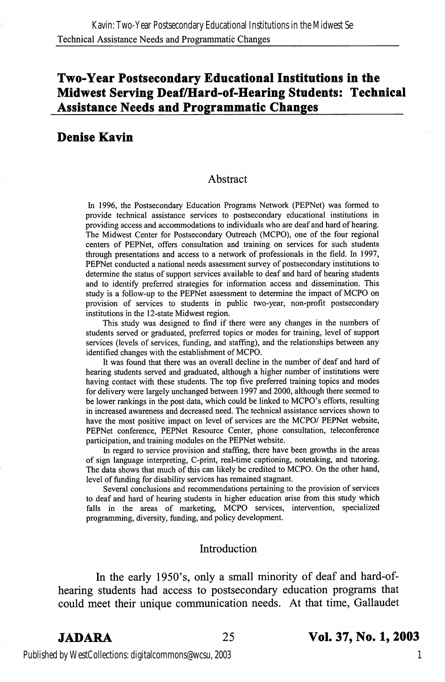## Two-Year Postsecondary Educational Institutions in the Midwest Serving Deaf/Hard-of-Hearing Students: Technical Assistance Needs and Programmatic Changes

### Denise Kavin

#### Abstract

In 1996, the Postsecondary Education Programs Network (PEPNet) was formed to provide technical assistance services to postsecondary educational institutions in providing access and accommodations to individuals who are deaf and hard of hearing. The Midwest Center for Postsecondary Outreach (MCPO), one of the four regional centers of PEPNet, offers consultation and training on services for such students through presentations and access to a network of professionals in the field. In 1997, PEPNet conducted a national needs assessment survey of postsecondary institutions to determine the status of support services available to deaf and hard of hearing students and to identify preferred strategies for information access and dissemination. This study is a follow-up to the PEPNet assessment to determine the impact of MCPO on provision of services to students in public two-year, non-profit postsecondary institutions in the 12-state Midwest region.

This study was designed to find if there were any changes in the numbers of students served or graduated, preferred topics or modes for training, level of support services (levels of services, funding, and staffing), and the relationships between any identified changes with the establishment of MCPO.

It was found that there was an overall decline in the number of deaf and hard of hearing students served and graduated, although a higher number of institutions were having contact with these students. The top five preferred training topics and modes for delivery were largely unchanged between 1997 and 2000, although there seemed to be lower rankings in the post data, which could be linked to MCPO's efforts, resulting in increased awareness and decreased need. The technical assistance services shown to have the most positive impact on level of services are the MCPO/ PEPNet website, PEPNet conference, PEPNet Resource Center, phone consultation, teleconference participation, and training modules on the PEPNet website.

In regard to service provision and staffing, there have been growths in the areas of sign language interpreting, C-print, real-time captioning, notetaking, and tutoring. The data shows that much of this can likely be credited to MCPO. On the other hand, level of funding for disability services has remained stagnant.

Several conclusions and recommendations pertaining to the provision of services to deaf and hard of hearing students in higher education arise from this study which falls in the areas of marketing, MCPO services, intervention, specialized programming, diversity, funding, and policy development.

#### Introduction

In the early 1950's, only a small minority of deaf and hard-ofhearing students had access to postsecondary education programs that could meet their unique communication needs. At that time, Gallaudet

#### JADARA 25 Vol. 37, No. 1,2003

Published by WestCollections: digitalcommons@wcsu, 2003

1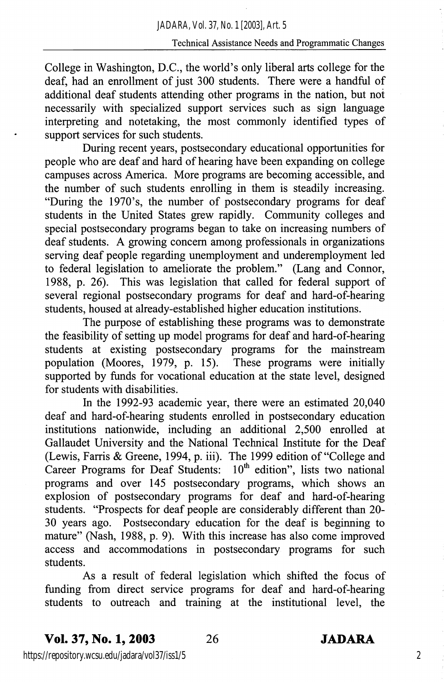#### Technical Assistance Needs and Programmatic Changes

College in Washington, D.C., the world's only liberal arts college for the deaf, had an enrollment of just 300 students. There were a handful of additional deaf students attending other programs in the nation, but not necessarily with specialized support services such as sign language interpreting and notetaking, the most commonly identified types of support services for such students.

During recent years, postsecondary educational opportunities for people who are deaf and hard of hearing have been expanding on college campuses across America. More programs are becoming accessible, and the number of such students enrolling in them is steadily increasing. "During the 1970's, the number of postsecondary programs for deaf students in the United States grew rapidly. Community colleges and special postsecondary programs began to take on increasing numbers of deaf students. A growing concem among professionals in organizations serving deaf people regarding unemployment and underemployment led to federal legislation to ameliorate the problem." (Lang and Connor, 1988, p. 26). This was legislation that called for federal support of several regional postsecondary programs for deaf and hard-of-hearing students, housed at already-established higher education institutions.

The purpose of establishing these programs was to demonstrate the feasibility of setting up model programs for deaf and hard-of-hearing students at existing postsecondary programs for the mainstream population (Moores, 1979, p. 15). These programs were initially supported by funds for vocational education at the state level, designed for students with disabilities.

In the 1992-93 academic year, there were an estimated 20,040 deaf and hard-of-hearing students enrolled in postsecondary education institutions nationwide, including an additional 2,500 enrolled at Gallaudet University and the National Technical Institute for the Deaf (Lewis, Farris & Greene, 1994, p. iii). The 1999 edition of "College and Career Programs for Deaf Students: 10<sup>th</sup> edition", lists two national programs and over 145 postsecondary programs, which shows an explosion of postsecondary programs for deaf and hard-of-hearing students. "Prospects for deaf people are considerably different than 20- 30 years ago. Postsecondary education for the deaf is beginning to mature" (Nash, 1988, p. 9). With this increase has also come improved access and accommodations in postsecondary programs for such students.

As a result of federal legislation which shifted the focus of funding from direct service programs for deaf and hard-of-hearing students to outreach and training at the institutional level, the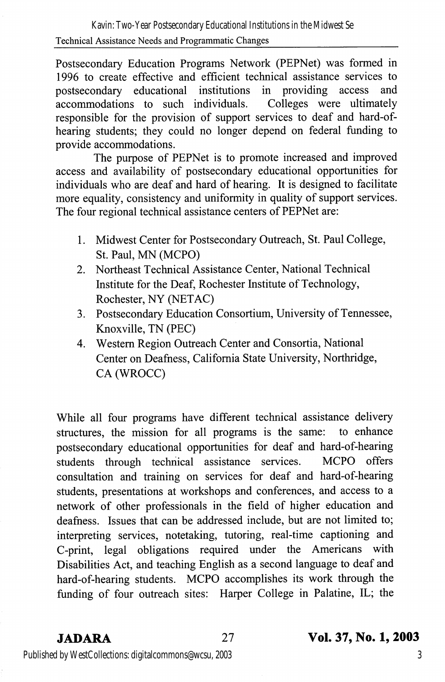Postsecondary Education Programs Network (PEPNet) was formed in 1996 to create effective and efficient technical assistance services to postsecondary educational institutions in providing access and accommodations to such individuals. Colleges were ultimately responsible for the provision of support services to deaf and hard-ofhearing students; they could no longer depend on federal fimding to provide accommodations.

The purpose of PEPNet is to promote increased and improved access and availability of postsecondary educational opportunities for individuals who are deaf and hard of hearing. It is designed to facilitate more equality, consistency and uniformity in quality of support services. The four regional technical assistance centers of PEPNet are:

- 1. Midwest Center for Postsecondary Outreach, St. Paul College, St. Paul, MN (MCPO)
- 2. Northeast Technical Assistance Center, National Technical Institute for the Deaf, Rochester Institute of Technology, Rochester, NY (NETAC)
- 3. Postsecondary Education Consortium, University of Tennessee, Knoxville, TN (PEC)
- 4. Western Region Outreach Center and Consortia, National Center on Deafness, California State University, Northridge, CA (WROCC)

While all four programs have different technical assistance delivery structures, the mission for all programs is the same: to enhance postsecondary educational opportunities for deaf and hard-of-hearing students through technical assistance services. MCPO offers consultation and training on services for deaf and hard-of-hearing students, presentations at workshops and conferences, and access to a network of other professionals in the field of higher education and deafness. Issues that can be addressed include, but are not limited to; interpreting services, notetaking, tutoring, real-time captioning and C-print, legal obligations required under the Americans with Disabilities Act, and teaching English as a second language to deaf and hard-of-hearing students. MCPO accomplishes its work through the funding of four outreach sites: Harper College in Palatine, IL; the

### JADARA 27 Vol. 37, No. 1,2003

Published by WestCollections: digitalcommons@wcsu, 2003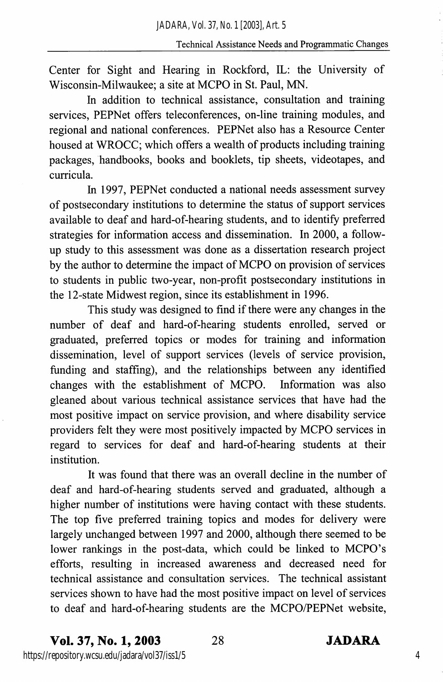Center for Sight and Hearing in Rockford, IL: the University of Wisconsin-Milwaukee; a site at MCPO in St. Paul, MN.

In addition to technical assistance, consultation and training services, PEPNet offers teleconferences, on-line training modules, and regional and national conferences. PEPNet also has a Resource Center housed at WROCC; which offers a wealth of products including training packages, handbooks, books and booklets, tip sheets, videotapes, and curricula.

In 1997, PEPNet conducted a national needs assessment survey of postsecondary institutions to determine the status of support services available to deaf and hard-of-hearing students, and to identify preferred strategies for information access and dissemination. In 2000, a followup study to this assessment was done as a dissertation research project by the author to determine the impact of MCPO on provision of services to students in public two-year, non-profit postsecondary institutions in the I2-state Midwest region, since its establishment in 1996.

This study was designed to find if there were any changes in the number of deaf and hard-of-hearing students enrolled, served or graduated, preferred topics or modes for training and information dissemination, level of support services (levels of service provision, funding and staffing), and the relationships between any identified changes with the establishment of MCPO. Information was also gleaned about various technical assistance services that have had the most positive impact on service provision, and where disability service providers felt they were most positively impacted by MCPO services in regard to services for deaf and hard-of-hearing students at their institution.

It was found that there was an overall decline in the number of deaf and hard-of-hearing students served and graduated, although a higher number of institutions were having contact with these students. The top five preferred training topics and modes for delivery were largely unchanged between 1997 and 2000, although there seemed to be lower rankings in the post-data, which could be linked to MCPO's efforts, resulting in increased awareness and decreased need for technical assistance and consultation services. The technical assistant services shown to have had the most positive impact on level of services to deaf and hard-of-hearing students are the MCPO/PEPNet website.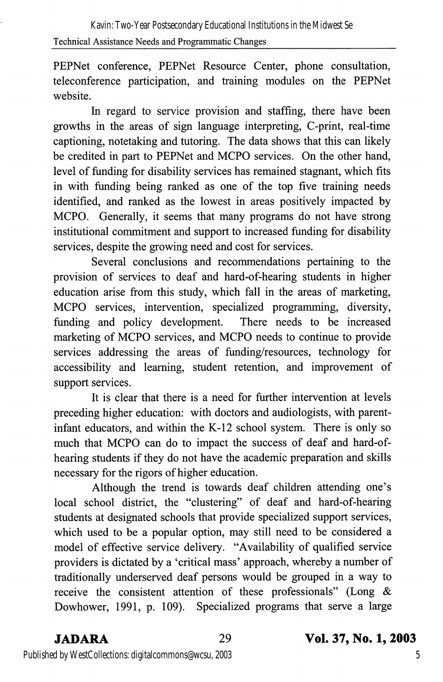PEPNet conference, PEPNet Resource Center, phone consultation, teleconference participation, and training modules on the PEPNet website.

In regard to service provision and staffing, there have been growths in the areas of sign language interpreting, C-print, real-time captioning, notetaking and tutoring. The data shows that this can likely be credited in part to PEPNet and MCPO services. On the other hand, level of funding for disability services has remained stagnant, which fits in with funding being ranked as one of the top five training needs identified, and ranked as the lowest in areas positively impacted by MCPO. Generally, it seems that many programs do not have strong institutional commitment and support to increased funding for disability services, despite the growing need and cost for services.

Several conclusions and recommendations pertaining to the provision of services to deaf and hard-of-hearing students in higher education arise from this study, which fall in the areas of marketing, MCPO services, intervention, specialized programming, diversity, funding and policy development. marketing of MCPO services, and MCPO needs to continue to provide services addressing the areas of funding/resources, technology for accessibility and learning, student retention, and improvement of support services.

It is clear that there is a need for further intervention at levels preceding higher education: with doctors and audiologists, with parentinfant educators, and within the K-12 school system. There is only so much that MCPO can do to impact the success of deaf and hard-ofhearing students if they do not have the academic preparation and skills necessary for the rigors of higher education.

Although the trend is towards deaf children attending one's local school district, the "clustering" of deaf and hard-of-hearing students at designated schools that provide specialized support services, which used to be a popular option, may still need to be considered a model of effective service delivery. "Availability of qualified service providers is dictated by a 'critical mass' approach, whereby a number of traditionally underserved deaf persons would be grouped in a way to receive the consistent attention of these professionals" (Long & Dowhower, 1991, p. 109). Specialized programs that serve a large

# JADARA 29 Vol. 37, No. 1,2003

Published by WestCollections: digitalcommons@wcsu, 2003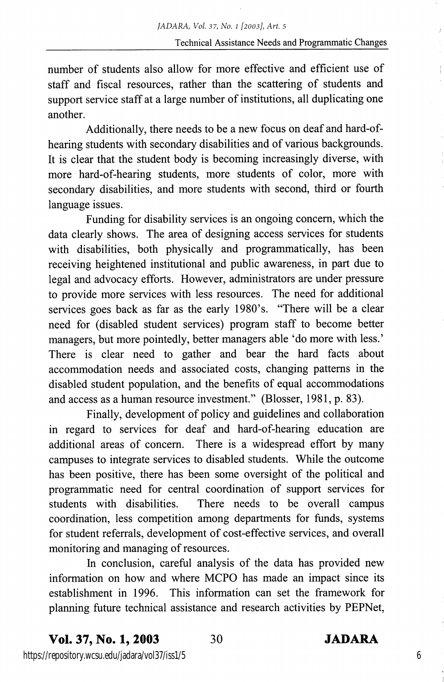number of students also allow for more effeetive and efficient use of staff and fiscal resources, rather than the scattering of students and support service staff at a large number of institutions, all duplicating one another.

Additionally, there needs to be a new focus on deaf and hard-ofhearing students with secondary disabilities and of various backgrounds. It is clear that the student body is becoming increasingly diverse, with more hard-of-hearing students, more students of color, more with secondary disabilities, and more students with second, third or fourth language issues.

Funding for disability services is an ongoing concern, which the data clearly shows. The area of designing access services for students with disabilities, both physically and programmatically, has been receiving heightened institutional and public awareness, in part due to legal and advocacy efforts. However, administrators are under pressure to provide more services with less resources. The need for additional services goes back as far as the early 1980's. "There will be a clear need for (disabled student services) program staff to become better managers, but more pointedly, better managers able 'do more with less.' There is clear need to gather and bear the hard facts about accommodation needs and associated costs, changing patterns in the disabled student population, and the benefits of equal accommodations and access as a human resource investment." (Blosser, 1981, p. 83).

Finally, development of policy and guidelines and collaboration in regard to services for deaf and hard-of-hearing education are additional areas of eoncem. There is a widespread effort by many campuses to integrate services to disabled students. While the outcome has been positive, there has been some oversight of the political and programmatic need for central coordination of support services for students with disabilities. There needs to be overall campus coordination, less competition among departments for funds, systems for student referrals, development of cost-effective services, and overall monitoring and managing of resources.

In conclusion, careful analysis of the data has provided new information on how and where MCPO has made an impact since its establishment in 1996. This information can set the framework for planning future teehnical assistance and research activities by PEPNet,

https://repository.wcsu.edu/jadara/vol37/iss1/5